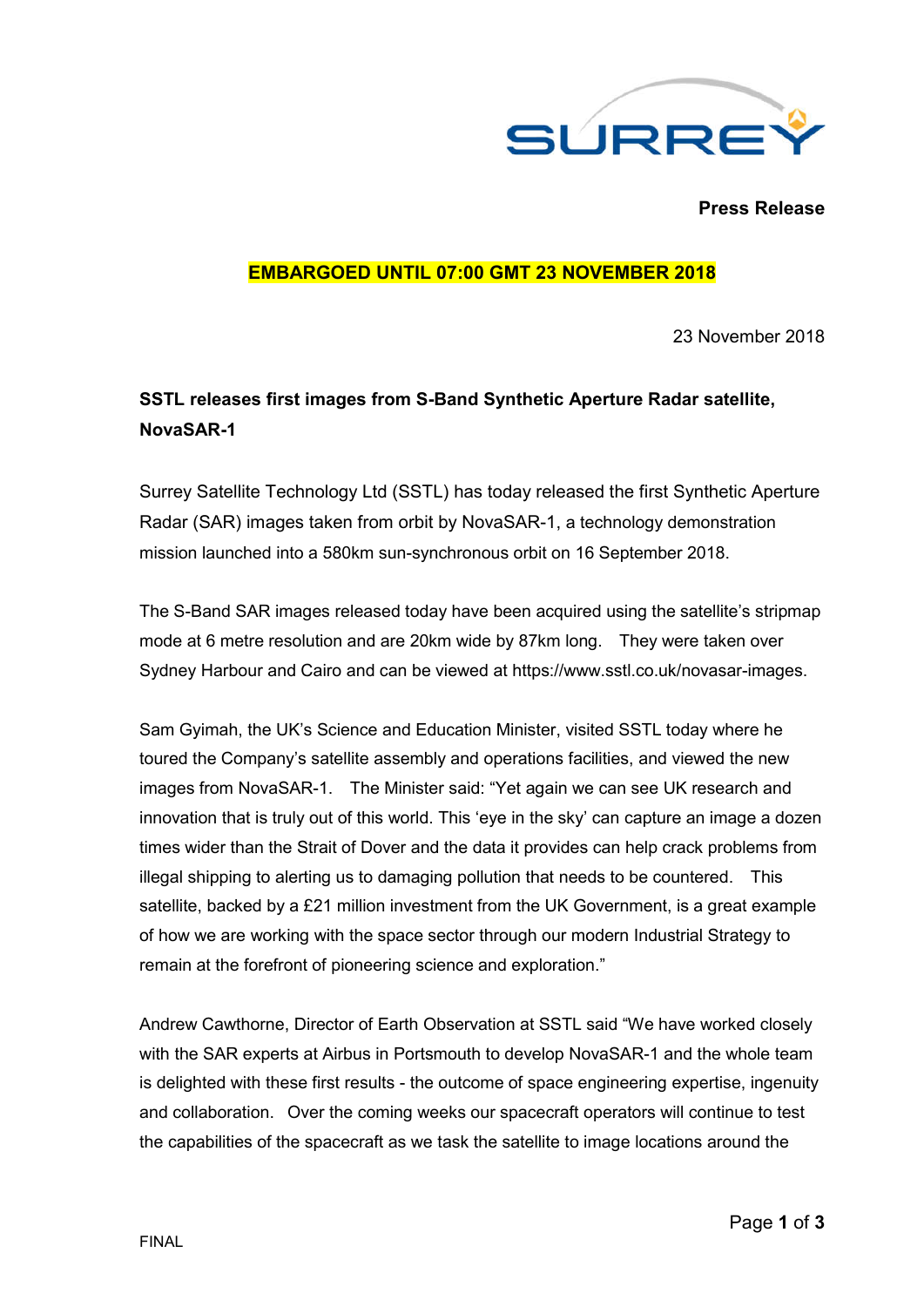

**Press Release**

## **EMBARGOED UNTIL 07:00 GMT 23 NOVEMBER 2018**

23 November 2018

# **SSTL releases first images from S-Band Synthetic Aperture Radar satellite, NovaSAR-1**

Surrey Satellite Technology Ltd (SSTL) has today released the first Synthetic Aperture Radar (SAR) images taken from orbit by NovaSAR-1, a technology demonstration mission launched into a 580km sun-synchronous orbit on 16 September 2018.

The S-Band SAR images released today have been acquired using the satellite's stripmap mode at 6 metre resolution and are 20km wide by 87km long. They were taken over Sydney Harbour and Cairo and can be viewed at https://www.sstl.co.uk/novasar-images.

Sam Gyimah, the UK's Science and Education Minister, visited SSTL today where he toured the Company's satellite assembly and operations facilities, and viewed the new images from NovaSAR-1. The Minister said: "Yet again we can see UK research and innovation that is truly out of this world. This 'eye in the sky' can capture an image a dozen times wider than the Strait of Dover and the data it provides can help crack problems from illegal shipping to alerting us to damaging pollution that needs to be countered. This satellite, backed by a £21 million investment from the UK Government, is a great example of how we are working with the space sector through our modern Industrial Strategy to remain at the forefront of pioneering science and exploration."

Andrew Cawthorne, Director of Earth Observation at SSTL said "We have worked closely with the SAR experts at Airbus in Portsmouth to develop NovaSAR-1 and the whole team is delighted with these first results - the outcome of space engineering expertise, ingenuity and collaboration. Over the coming weeks our spacecraft operators will continue to test the capabilities of the spacecraft as we task the satellite to image locations around the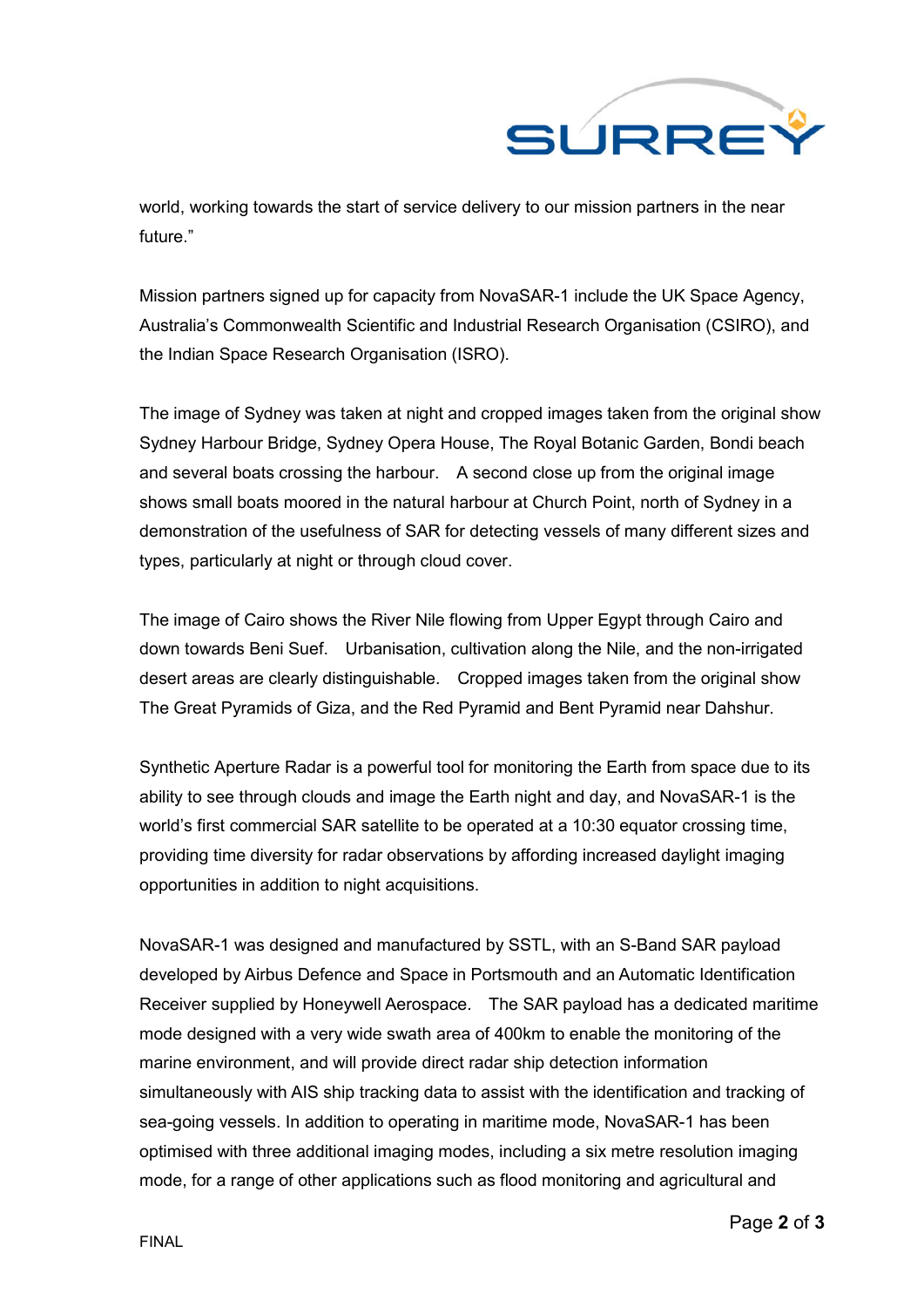

world, working towards the start of service delivery to our mission partners in the near future."

Mission partners signed up for capacity from NovaSAR-1 include the UK Space Agency, Australia's Commonwealth Scientific and Industrial Research Organisation (CSIRO), and the Indian Space Research Organisation (ISRO).

The image of Sydney was taken at night and cropped images taken from the original show Sydney Harbour Bridge, Sydney Opera House, The Royal Botanic Garden, Bondi beach and several boats crossing the harbour. A second close up from the original image shows small boats moored in the natural harbour at Church Point, north of Sydney in a demonstration of the usefulness of SAR for detecting vessels of many different sizes and types, particularly at night or through cloud cover.

The image of Cairo shows the River Nile flowing from Upper Egypt through Cairo and down towards Beni Suef. Urbanisation, cultivation along the Nile, and the non-irrigated desert areas are clearly distinguishable. Cropped images taken from the original show The Great Pyramids of Giza, and the Red Pyramid and Bent Pyramid near Dahshur.

Synthetic Aperture Radar is a powerful tool for monitoring the Earth from space due to its ability to see through clouds and image the Earth night and day, and NovaSAR-1 is the world's first commercial SAR satellite to be operated at a 10:30 equator crossing time, providing time diversity for radar observations by affording increased daylight imaging opportunities in addition to night acquisitions.

NovaSAR-1 was designed and manufactured by SSTL, with an S-Band SAR payload developed by Airbus Defence and Space in Portsmouth and an Automatic Identification Receiver supplied by Honeywell Aerospace. The SAR payload has a dedicated maritime mode designed with a very wide swath area of 400km to enable the monitoring of the marine environment, and will provide direct radar ship detection information simultaneously with AIS ship tracking data to assist with the identification and tracking of sea-going vessels. In addition to operating in maritime mode, NovaSAR-1 has been optimised with three additional imaging modes, including a six metre resolution imaging mode, for a range of other applications such as flood monitoring and agricultural and